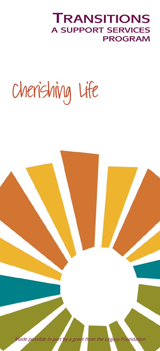### *FRANSITIONS* **A SUPPORT SERVICES PROGRAM**

# Cherishing Life